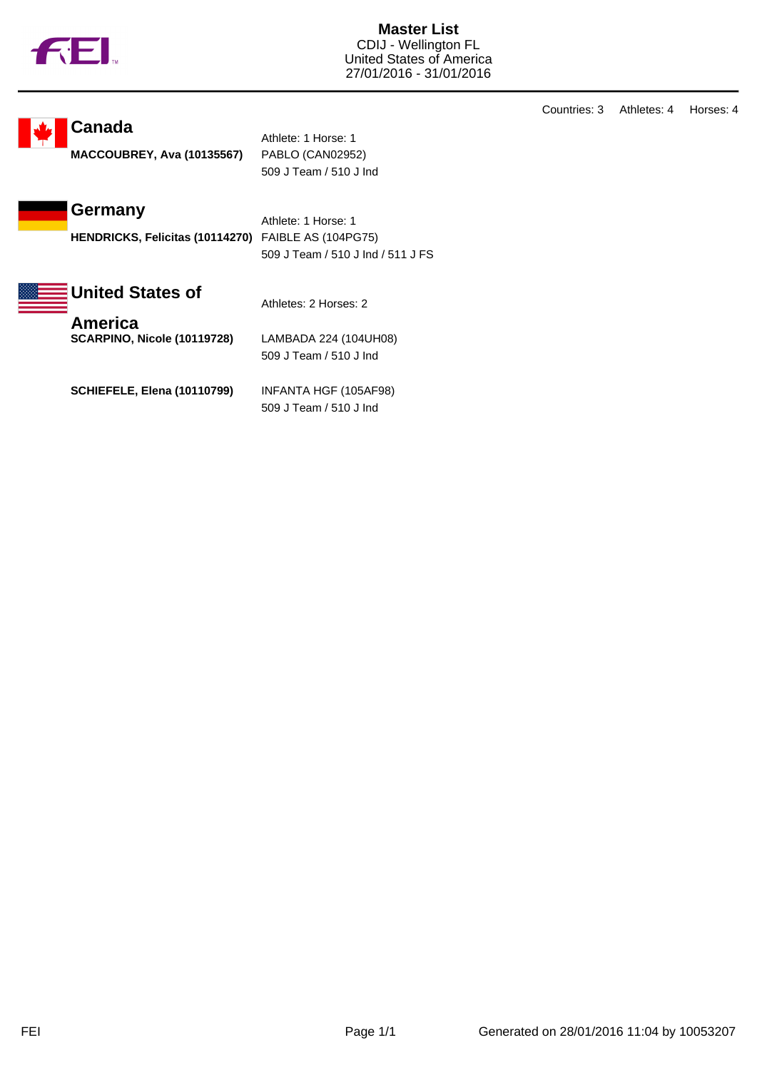

**Master List** CDIJ - Wellington FL United States of America 27/01/2016 - 31/01/2016

## **Canada**

**MACCOUBREY, Ava (10135567)** PABLO (CAN02952)

Athlete: 1 Horse: 1 509 J Team / 510 J Ind

**Germany**

**HENDRICKS, Felicitas (10114270)** FAIBLE AS (104PG75)

Athlete: 1 Horse: 1 509 J Team / 510 J Ind / 511 J FS



**SCARPINO, Nicole (10119728)** LAMBADA 224 (104UH08) 509 J Team / 510 J Ind

**SCHIEFELE, Elena (10110799)** INFANTA HGF (105AF98) 509 J Team / 510 J Ind

Countries: 3 Athletes: 4 Horses: 4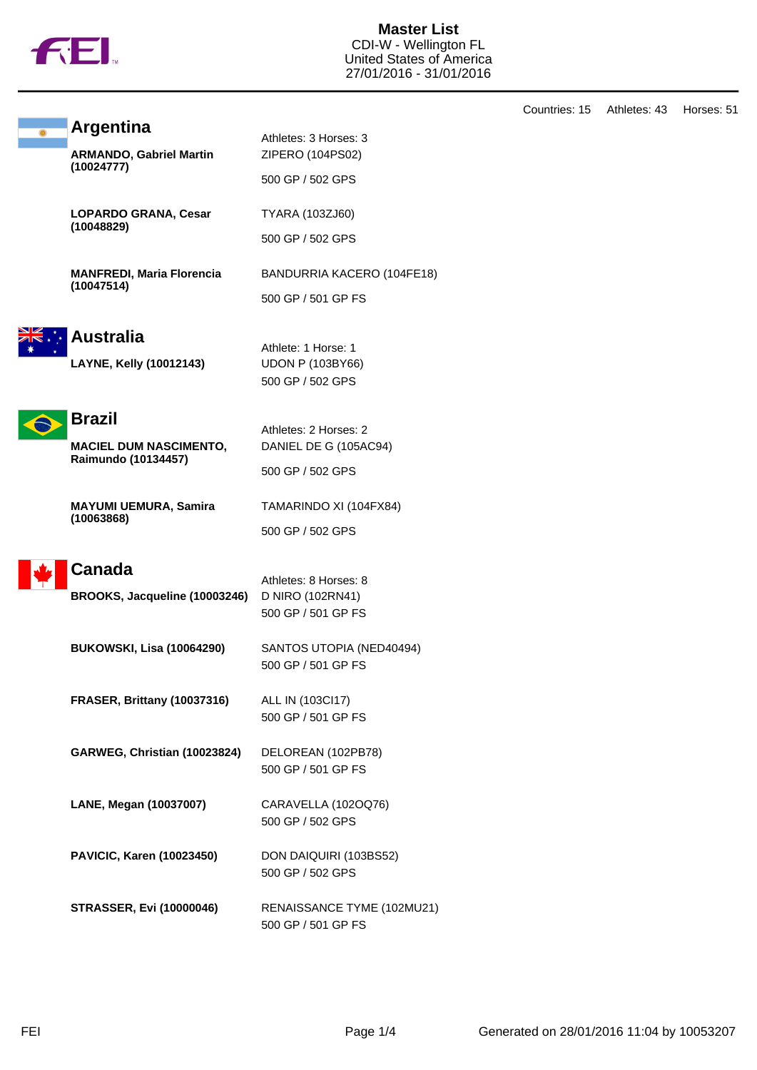

**Master List** CDI-W - Wellington FL United States of America 27/01/2016 - 31/01/2016

|                                                                       |                                                                    | Countries: 15 | Athletes: 43 | Horses: 51 |
|-----------------------------------------------------------------------|--------------------------------------------------------------------|---------------|--------------|------------|
| <b>Argentina</b><br><b>ARMANDO, Gabriel Martin</b><br>(10024777)      | Athletes: 3 Horses: 3<br>ZIPERO (104PS02)<br>500 GP / 502 GPS      |               |              |            |
| LOPARDO GRANA, Cesar<br>(10048829)                                    | TYARA (103ZJ60)<br>500 GP / 502 GPS                                |               |              |            |
| <b>MANFREDI, Maria Florencia</b><br>(10047514)                        | BANDURRIA KACERO (104FE18)<br>500 GP / 501 GP FS                   |               |              |            |
| <b>Australia</b><br>LAYNE, Kelly (10012143)                           | Athlete: 1 Horse: 1<br><b>UDON P (103BY66)</b><br>500 GP / 502 GPS |               |              |            |
| <b>Brazil</b><br><b>MACIEL DUM NASCIMENTO,</b><br>Raimundo (10134457) | Athletes: 2 Horses: 2<br>DANIEL DE G (105AC94)<br>500 GP / 502 GPS |               |              |            |
| <b>MAYUMI UEMURA, Samira</b><br>(10063868)                            | TAMARINDO XI (104FX84)<br>500 GP / 502 GPS                         |               |              |            |
| <b>Canada</b><br>BROOKS, Jacqueline (10003246)                        | Athletes: 8 Horses: 8<br>D NIRO (102RN41)<br>500 GP / 501 GP FS    |               |              |            |
| <b>BUKOWSKI, Lisa (10064290)</b>                                      | SANTOS UTOPIA (NED40494)<br>500 GP / 501 GP FS                     |               |              |            |
| FRASER, Brittany (10037316)                                           | ALL IN (103Cl17)<br>500 GP / 501 GP FS                             |               |              |            |
| GARWEG, Christian (10023824)                                          | DELOREAN (102PB78)<br>500 GP / 501 GP FS                           |               |              |            |
| LANE, Megan (10037007)                                                | CARAVELLA (102OQ76)<br>500 GP / 502 GPS                            |               |              |            |
| PAVICIC, Karen (10023450)                                             | DON DAIQUIRI (103BS52)<br>500 GP / 502 GPS                         |               |              |            |
| <b>STRASSER, Evi (10000046)</b>                                       | RENAISSANCE TYME (102MU21)<br>500 GP / 501 GP FS                   |               |              |            |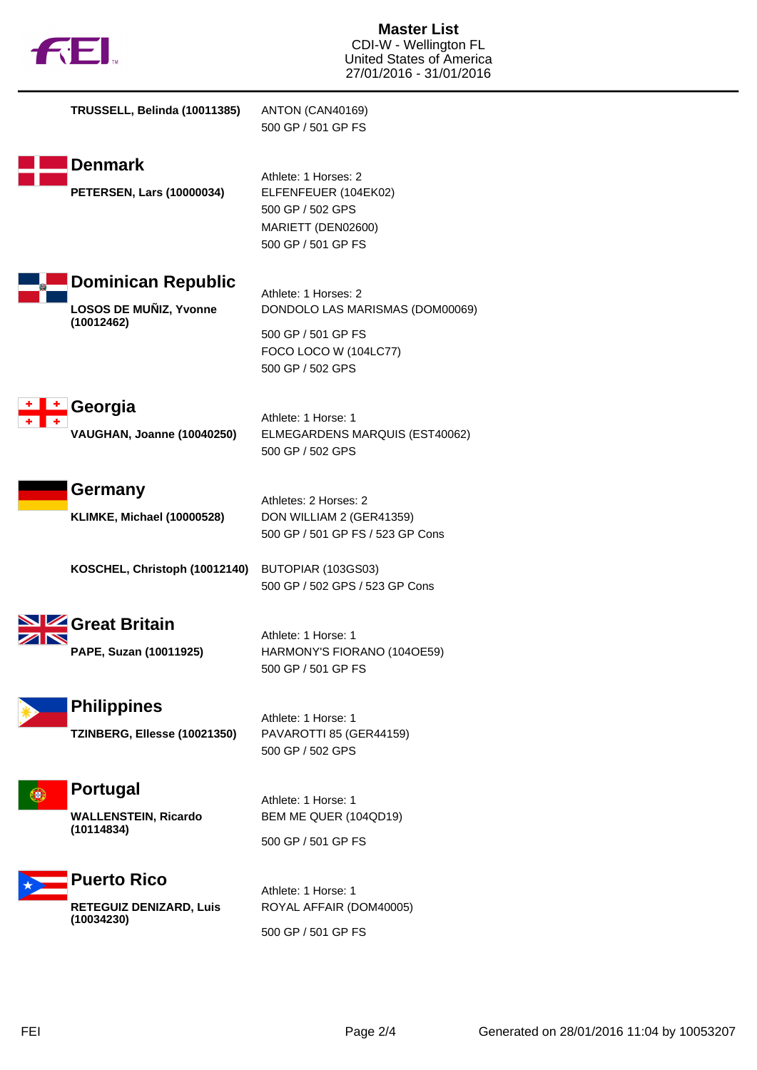

| TRUSSELL, Belinda (10011385)                                      | ANTON (CAN40169)<br>500 GP / 501 GP FS                                                                                     |
|-------------------------------------------------------------------|----------------------------------------------------------------------------------------------------------------------------|
| Denmark<br><b>PETERSEN, Lars (10000034)</b>                       | Athlete: 1 Horses: 2<br>ELFENFEUER (104EK02)<br>500 GP / 502 GPS<br>MARIETT (DEN02600)<br>500 GP / 501 GP FS               |
| <b>Dominican Republic</b><br>LOSOS DE MUÑIZ, Yvonne<br>(10012462) | Athlete: 1 Horses: 2<br>DONDOLO LAS MARISMAS (DOM00069)<br>500 GP / 501 GP FS<br>FOCO LOCO W (104LC77)<br>500 GP / 502 GPS |
| Georgia<br><b>VAUGHAN, Joanne (10040250)</b>                      | Athlete: 1 Horse: 1<br>ELMEGARDENS MARQUIS (EST40062)<br>500 GP / 502 GPS                                                  |
| Germany<br>KLIMKE, Michael (10000528)                             | Athletes: 2 Horses: 2<br>DON WILLIAM 2 (GER41359)<br>500 GP / 501 GP FS / 523 GP Cons                                      |
| KOSCHEL, Christoph (10012140)                                     | BUTOPIAR (103GS03)<br>500 GP / 502 GPS / 523 GP Cons                                                                       |
| <b>2 Great Britain</b><br>PAPE, Suzan (10011925)                  | Athlete: 1 Horse: 1<br>HARMONY'S FIORANO (104OE59)<br>500 GP / 501 GP FS                                                   |
| <b>Philippines</b><br>TZINBERG, Ellesse (10021350)                | Athlete: 1 Horse: 1<br>PAVAROTTI 85 (GER44159)<br>500 GP / 502 GPS                                                         |
| <b>Portugal</b><br><b>WALLENSTEIN, Ricardo</b><br>(10114834)      | Athlete: 1 Horse: 1<br>BEM ME QUER (104QD19)<br>500 GP / 501 GP FS                                                         |
| <b>Puerto Rico</b><br>RETEGUIZ DENIZARD, Luis<br>(10034230)       | Athlete: 1 Horse: 1<br>ROYAL AFFAIR (DOM40005)<br>500 GP / 501 GP FS                                                       |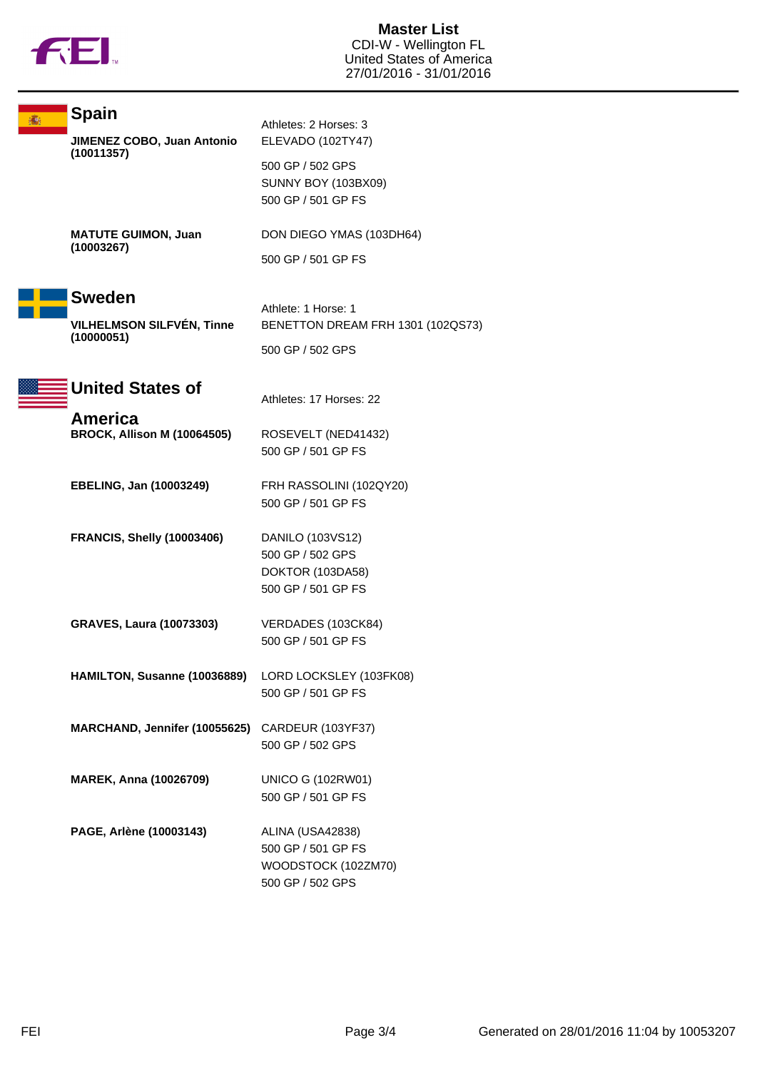

**Master List** CDI-W - Wellington FL United States of America 27/01/2016 - 31/01/2016

| <b>Spain</b><br>JIMENEZ COBO, Juan Antonio<br>(10011357) | Athletes: 2 Horses: 3<br>ELEVADO (102TY47)                                        |
|----------------------------------------------------------|-----------------------------------------------------------------------------------|
|                                                          | 500 GP / 502 GPS<br><b>SUNNY BOY (103BX09)</b><br>500 GP / 501 GP FS              |
| <b>MATUTE GUIMON, Juan</b><br>(10003267)                 | DON DIEGO YMAS (103DH64)                                                          |
|                                                          | 500 GP / 501 GP FS                                                                |
| <b>Sweden</b><br>VILHELMSON SILFVÉN, Tinne<br>(10000051) | Athlete: 1 Horse: 1<br>BENETTON DREAM FRH 1301 (102QS73)                          |
|                                                          | 500 GP / 502 GPS                                                                  |
| <b>United States of</b>                                  | Athletes: 17 Horses: 22                                                           |
| America<br><b>BROCK, Allison M (10064505)</b>            | ROSEVELT (NED41432)<br>500 GP / 501 GP FS                                         |
| <b>EBELING, Jan (10003249)</b>                           | FRH RASSOLINI (102QY20)<br>500 GP / 501 GP FS                                     |
| <b>FRANCIS, Shelly (10003406)</b>                        | DANILO (103VS12)<br>500 GP / 502 GPS<br>DOKTOR (103DA58)<br>500 GP / 501 GP FS    |
| <b>GRAVES, Laura (10073303)</b>                          | VERDADES (103CK84)<br>500 GP / 501 GP FS                                          |
| HAMILTON, Susanne (10036889) LORD LOCKSLEY (103FK08)     | 500 GP / 501 GP FS                                                                |
| MARCHAND, Jennifer (10055625) CARDEUR (103YF37)          | 500 GP / 502 GPS                                                                  |
| MAREK, Anna (10026709)                                   | <b>UNICO G (102RW01)</b><br>500 GP / 501 GP FS                                    |
| PAGE, Arlène (10003143)                                  | ALINA (USA42838)<br>500 GP / 501 GP FS<br>WOODSTOCK (102ZM70)<br>500 GP / 502 GPS |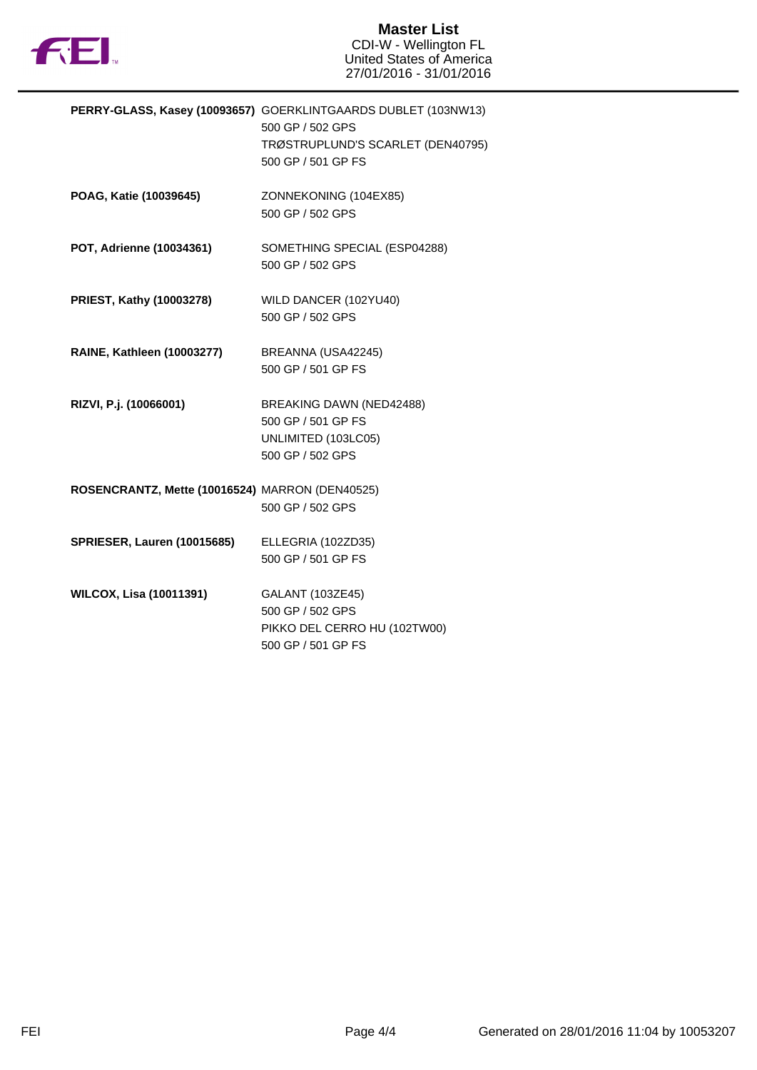

**Master List** CDI-W - Wellington FL United States of America 27/01/2016 - 31/01/2016

|                                                 | PERRY-GLASS, Kasey (10093657) GOERKLINTGAARDS DUBLET (103NW13)<br>500 GP / 502 GPS<br>TRØSTRUPLUND'S SCARLET (DEN40795)<br>500 GP / 501 GP FS |
|-------------------------------------------------|-----------------------------------------------------------------------------------------------------------------------------------------------|
| POAG, Katie (10039645)                          | ZONNEKONING (104EX85)<br>500 GP / 502 GPS                                                                                                     |
| POT, Adrienne (10034361)                        | SOMETHING SPECIAL (ESP04288)<br>500 GP / 502 GPS                                                                                              |
| PRIEST, Kathy (10003278)                        | WILD DANCER (102YU40)<br>500 GP / 502 GPS                                                                                                     |
| <b>RAINE, Kathleen (10003277)</b>               | BREANNA (USA42245)<br>500 GP / 501 GP FS                                                                                                      |
| RIZVI, P.j. (10066001)                          | BREAKING DAWN (NED42488)<br>500 GP / 501 GP FS<br>UNLIMITED (103LC05)<br>500 GP / 502 GPS                                                     |
| ROSENCRANTZ, Mette (10016524) MARRON (DEN40525) | 500 GP / 502 GPS                                                                                                                              |
| <b>SPRIESER, Lauren (10015685)</b>              | ELLEGRIA (102ZD35)<br>500 GP / 501 GP FS                                                                                                      |
| <b>WILCOX, Lisa (10011391)</b>                  | GALANT (103ZE45)<br>500 GP / 502 GPS<br>PIKKO DEL CERRO HU (102TW00)<br>500 GP / 501 GP FS                                                    |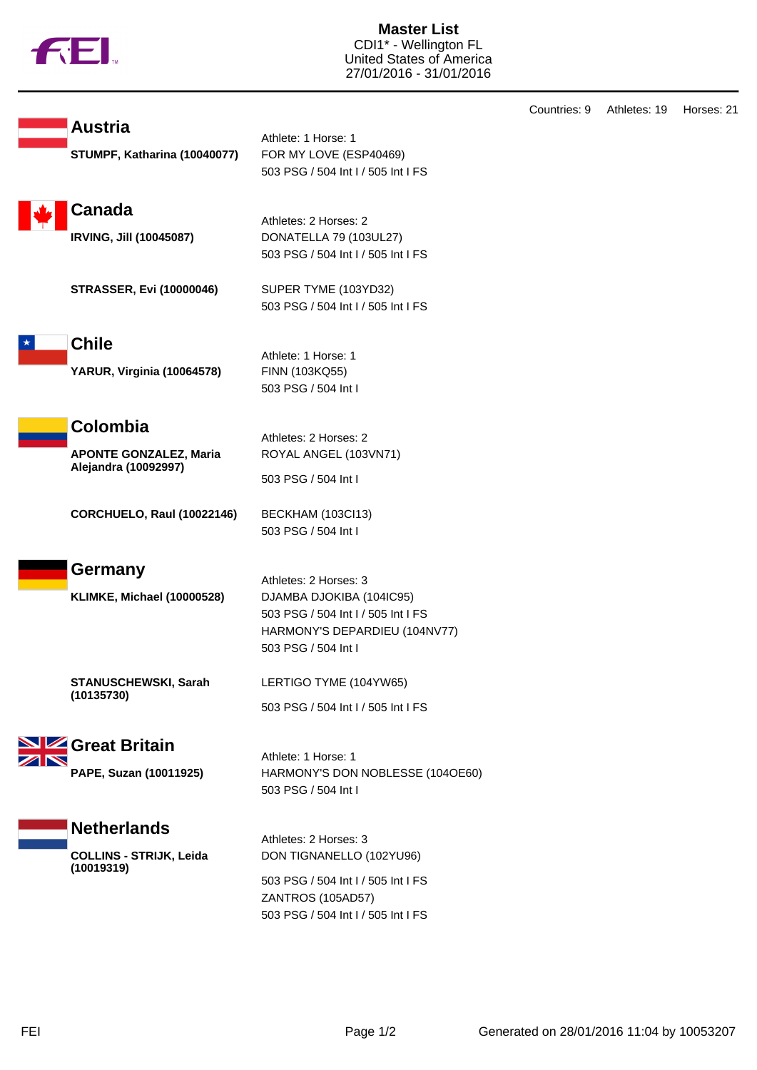

**Austria**

**Master List** CDI1\* - Wellington FL United States of America 27/01/2016 - 31/01/2016

| STUMPF, Katharina (10040077)                                       | AUTICIC. I LIVISC. I<br>FOR MY LOVE (ESP40469)<br>503 PSG / 504 Int I / 505 Int I FS                                                            |
|--------------------------------------------------------------------|-------------------------------------------------------------------------------------------------------------------------------------------------|
| <b>Canada</b><br><b>IRVING, Jill (10045087)</b>                    | Athletes: 2 Horses: 2<br>DONATELLA 79 (103UL27)<br>503 PSG / 504 Int I / 505 Int I FS                                                           |
| <b>STRASSER, Evi (10000046)</b>                                    | SUPER TYME (103YD32)<br>503 PSG / 504 Int I / 505 Int I FS                                                                                      |
| <b>Chile</b><br>YARUR, Virginia (10064578)                         | Athlete: 1 Horse: 1<br>FINN (103KQ55)<br>503 PSG / 504 Int I                                                                                    |
| Colombia<br><b>APONTE GONZALEZ, Maria</b><br>Alejandra (10092997)  | Athletes: 2 Horses: 2<br>ROYAL ANGEL (103VN71)<br>503 PSG / 504 Int I                                                                           |
| <b>CORCHUELO, Raul (10022146)</b>                                  | BECKHAM (103Cl13)<br>503 PSG / 504 Int I                                                                                                        |
| Germany<br><b>KLIMKE, Michael (10000528)</b>                       | Athletes: 2 Horses: 3<br>DJAMBA DJOKIBA (104IC95)<br>503 PSG / 504 Int I / 505 Int I FS<br>HARMONY'S DEPARDIEU (104NV77)<br>503 PSG / 504 Int I |
| STANUSCHEWSKI, Sarah<br>(10135730)                                 | LERTIGO TYME (104YW65)<br>503 PSG / 504 Int I / 505 Int I FS                                                                                    |
| SIZ Great Britain<br>PAPE, Suzan (10011925)                        | Athlete: 1 Horse: 1<br>HARMONY'S DON NOBLESSE (104OE60)<br>503 PSG / 504 Int I                                                                  |
| <b>Netherlands</b><br><b>COLLINS - STRIJK, Leida</b><br>(10019319) | Athletes: 2 Horses: 3<br>DON TIGNANELLO (102YU96)                                                                                               |

Athlete: 1 Horse: 1

503 PSG / 504 Int I / 505 Int I FS ZANTROS (105AD57) 503 PSG / 504 Int I / 505 Int I FS

Countries: 9 Athletes: 19 Horses: 21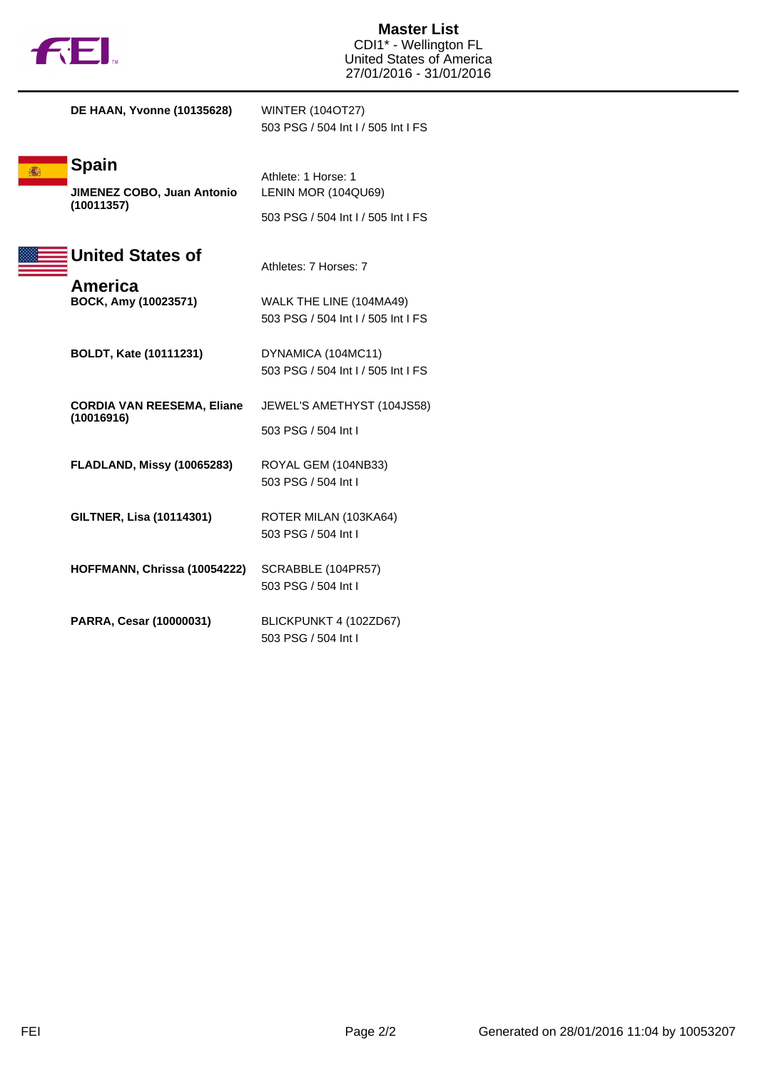

**Master List** CDI1\* - Wellington FL United States of America 27/01/2016 - 31/01/2016

**DE HAAN, Yvonne (10135628)** WINTER (104OT27)

503 PSG / 504 Int I / 505 Int I FS

503 PSG / 504 Int I / 505 Int I FS

## **Spain**

**JIMENEZ COBO, Juan Antonio (10011357)**

## **United States of**

Athletes: 7 Horses: 7

Athlete: 1 Horse: 1

LENIN MOR (104QU69)

**America**<br>**BOCK, Amy (10023571)** 

| յy (10023571) | WALK THE LINE (104MA49)            |
|---------------|------------------------------------|
|               | 503 PSG / 504 Int I / 505 Int I FS |

**BOLDT, Kate (10111231)** DYNAMICA (104MC11) 503 PSG / 504 Int I / 505 Int I FS

**CORDIA VAN REESEMA, Eliane (10016916)** JEWEL'S AMETHYST (104JS58) 503 PSG / 504 Int I

- **FLADLAND, Missy (10065283)** ROYAL GEM (104NB33) 503 PSG / 504 Int I
- **GILTNER, Lisa (10114301)** ROTER MILAN (103KA64) 503 PSG / 504 Int I
- **HOFFMANN, Chrissa (10054222)** SCRABBLE (104PR57) 503 PSG / 504 Int I
- **PARRA, Cesar (10000031)** BLICKPUNKT 4 (102ZD67) 503 PSG / 504 Int I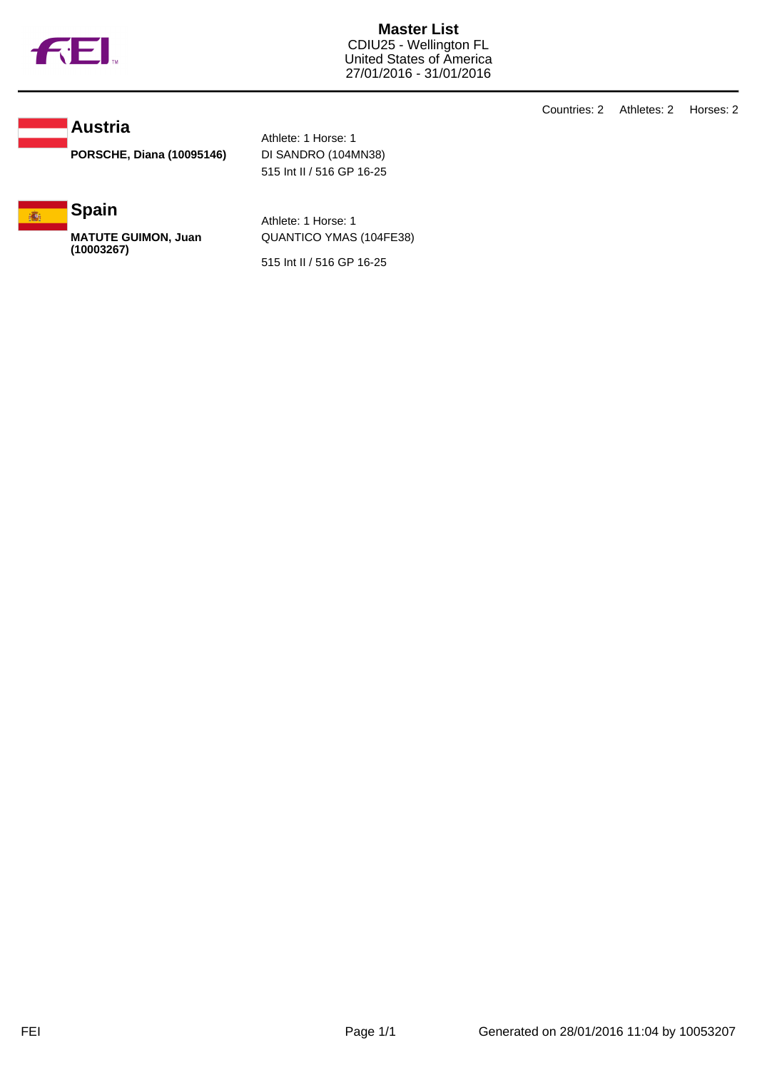

**Master List** CDIU25 - Wellington FL United States of America 27/01/2016 - 31/01/2016

**Austria**

**PORSCHE, Diana (10095146)** DI SANDRO (104MN38)

Athlete: 1 Horse: 1 515 Int II / 516 GP 16-25



**MATUTE GUIMON, Juan (10003267)**

Athlete: 1 Horse: 1 QUANTICO YMAS (104FE38)

515 Int II / 516 GP 16-25

Countries: 2 Athletes: 2 Horses: 2